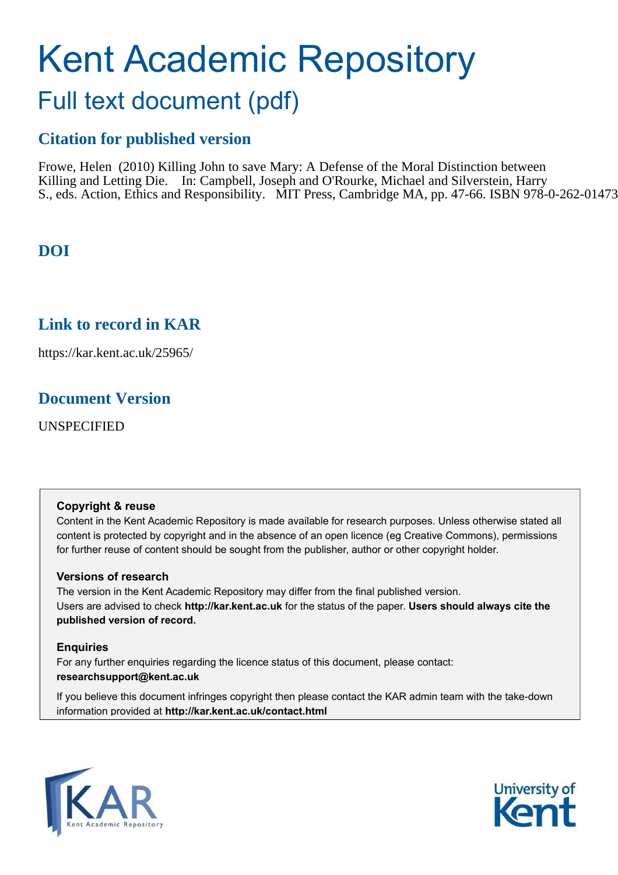# Kent Academic Repository Full text document (pdf)

# **Citation for published version**

Frowe, Helen (2010) Killing John to save Mary: A Defense of the Moral Distinction between Killing and Letting Die. In: Campbell, Joseph and O'Rourke, Michael and Silverstein, Harry S., eds. Action, Ethics and Responsibility. MIT Press, Cambridge MA, pp. 47-66. ISBN 978-0-262-01473

# **DOI**

# **Link to record in KAR**

https://kar.kent.ac.uk/25965/

# **Document Version**

UNSPECIFIED

#### **Copyright & reuse**

Content in the Kent Academic Repository is made available for research purposes. Unless otherwise stated all content is protected by copyright and in the absence of an open licence (eg Creative Commons), permissions for further reuse of content should be sought from the publisher, author or other copyright holder.

#### **Versions of research**

The version in the Kent Academic Repository may differ from the final published version. Users are advised to check **http://kar.kent.ac.uk** for the status of the paper. **Users should always cite the published version of record.**

#### **Enquiries**

For any further enquiries regarding the licence status of this document, please contact: **researchsupport@kent.ac.uk**

If you believe this document infringes copyright then please contact the KAR admin team with the take-down information provided at **http://kar.kent.ac.uk/contact.html**



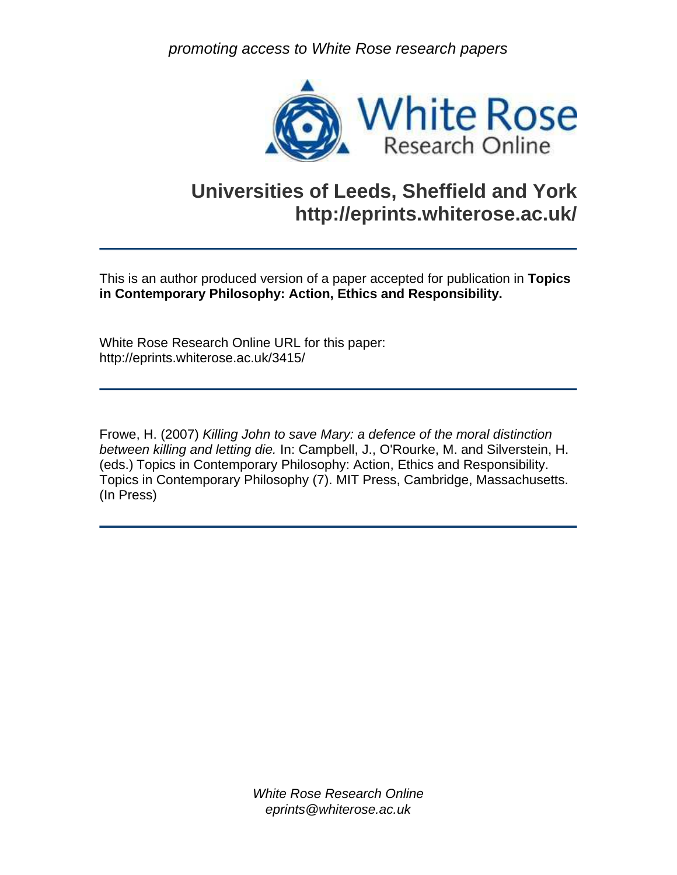promoting access to White Rose research papers



# **Universities of Leeds, Sheffield and York http://eprints.whiterose.ac.uk/**

This is an author produced version of a paper accepted for publication in **Topics in Contemporary Philosophy: Action, Ethics and Responsibility.** 

White Rose Research Online URL for this paper: http://eprints.whiterose.ac.uk/3415/

Frowe, H. (2007) Killing John to save Mary: a defence of the moral distinction between killing and letting die. In: Campbell, J., O'Rourke, M. and Silverstein, H. (eds.) Topics in Contemporary Philosophy: Action, Ethics and Responsibility. Topics in Contemporary Philosophy (7). MIT Press, Cambridge, Massachusetts. (In Press)

> <span id="page-1-1"></span><span id="page-1-0"></span>White Rose Research Online eprints@whiterose.ac.uk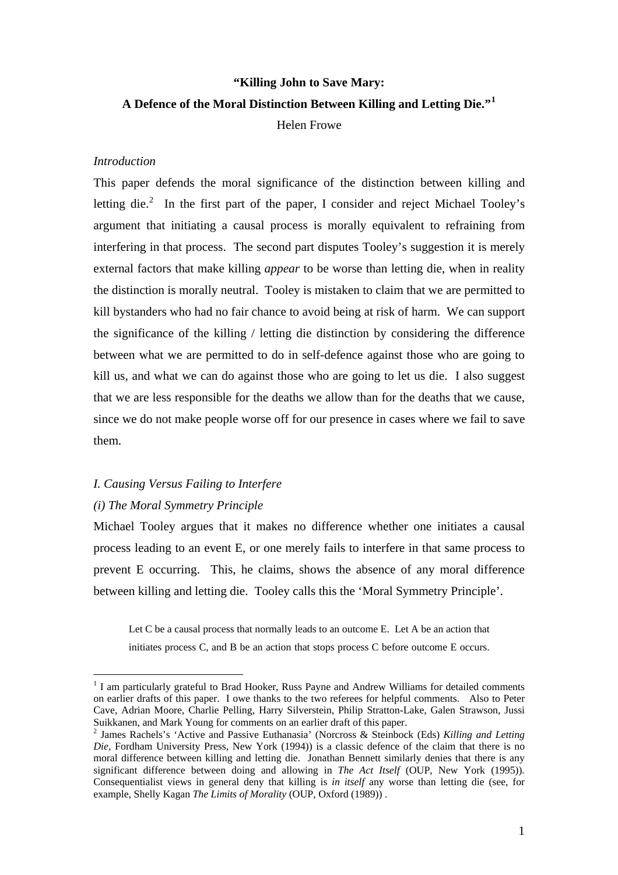# **"Killing John to Save Mary: A Defence of the Moral Distinction Between Killing and Letting Die."[1](#page-1-0)** Helen Frowe

#### *Introduction*

This paper defends the moral significance of the distinction between killing and letting die. $2$  In the first part of the paper, I consider and reject Michael Tooley's argument that initiating a causal process is morally equivalent to refraining from interfering in that process. The second part disputes Tooley's suggestion it is merely external factors that make killing *appear* to be worse than letting die, when in reality the distinction is morally neutral. Tooley is mistaken to claim that we are permitted to kill bystanders who had no fair chance to avoid being at risk of harm. We can support the significance of the killing / letting die distinction by considering the difference between what we are permitted to do in self-defence against those who are going to kill us, and what we can do against those who are going to let us die. I also suggest that we are less responsible for the deaths we allow than for the deaths that we cause, since we do not make people worse off for our presence in cases where we fail to save them.

#### *I. Causing Versus Failing to Interfere*

#### *(i) The Moral Symmetry Principle*

 $\overline{a}$ 

Michael Tooley argues that it makes no difference whether one initiates a causal process leading to an event E, or one merely fails to interfere in that same process to prevent E occurring. This, he claims, shows the absence of any moral difference between killing and letting die. Tooley calls this the 'Moral Symmetry Principle'.

Let C be a causal process that normally leads to an outcome E. Let A be an action that initiates process C, and B be an action that stops process C before outcome E occurs.

<sup>&</sup>lt;sup>1</sup> I am particularly grateful to Brad Hooker, Russ Payne and Andrew Williams for detailed comments on earlier drafts of this paper. I owe thanks to the two referees for helpful comments. Also to Peter Cave, Adrian Moore, Charlie Pelling, Harry Silverstein, Philip Stratton-Lake, Galen Strawson, Jussi Suikkanen, and Mark Young for comments on an earlier draft of this paper.

<span id="page-2-0"></span><sup>2</sup> James Rachels's 'Active and Passive Euthanasia' (Norcross & Steinbock (Eds) *Killing and Letting Die*, Fordham University Press, New York (1994)) is a classic defence of the claim that there is no moral difference between killing and letting die. Jonathan Bennett similarly denies that there is any significant difference between doing and allowing in *The Act Itself* (OUP, New York (1995))*.* Consequentialist views in general deny that killing is *in itself* any worse than letting die (see, for example, Shelly Kagan *The Limits of Morality* (OUP, Oxford (1989)) .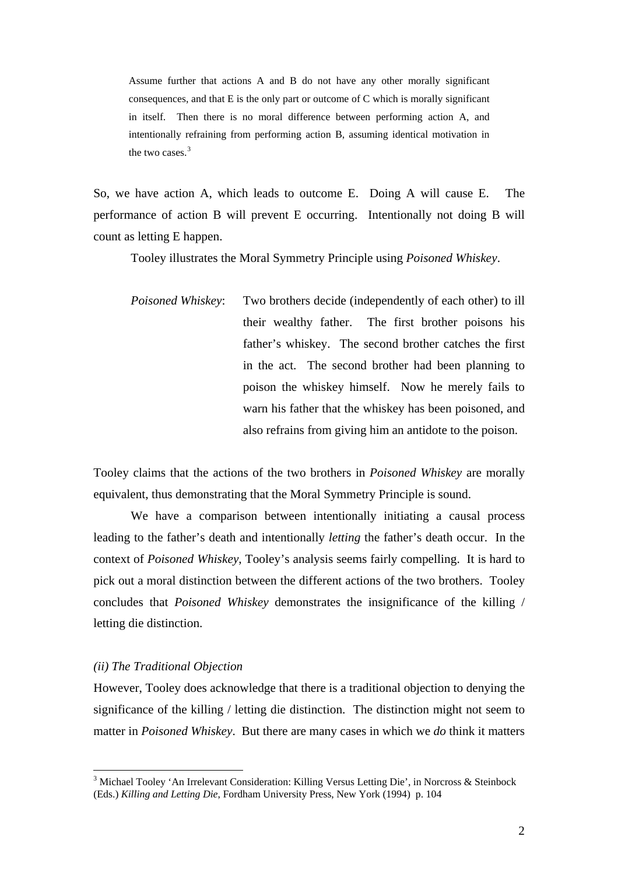Assume further that actions A and B do not have any other morally significant consequences, and that E is the only part or outcome of C which is morally significant in itself. Then there is no moral difference between performing action A, and intentionally refraining from performing action B, assuming identical motivation in the two cases.<sup>[3](#page-2-0)</sup>

So, we have action A, which leads to outcome E. Doing A will cause E. The performance of action B will prevent E occurring. Intentionally not doing B will count as letting E happen.

Tooley illustrates the Moral Symmetry Principle using *Poisoned Whiskey*.

*Poisoned Whiskey*: Two brothers decide (independently of each other) to ill their wealthy father. The first brother poisons his father's whiskey. The second brother catches the first in the act. The second brother had been planning to poison the whiskey himself. Now he merely fails to warn his father that the whiskey has been poisoned, and also refrains from giving him an antidote to the poison.

Tooley claims that the actions of the two brothers in *Poisoned Whiskey* are morally equivalent, thus demonstrating that the Moral Symmetry Principle is sound.

We have a comparison between intentionally initiating a causal process leading to the father's death and intentionally *letting* the father's death occur. In the context of *Poisoned Whiskey*, Tooley's analysis seems fairly compelling. It is hard to pick out a moral distinction between the different actions of the two brothers. Tooley concludes that *Poisoned Whiskey* demonstrates the insignificance of the killing / letting die distinction.

#### *(ii) The Traditional Objection*

 $\overline{a}$ 

However, Tooley does acknowledge that there is a traditional objection to denying the significance of the killing / letting die distinction. The distinction might not seem to matter in *Poisoned Whiskey*. But there are many cases in which we *do* think it matters

<span id="page-3-2"></span><span id="page-3-1"></span><span id="page-3-0"></span><sup>&</sup>lt;sup>3</sup> Michael Tooley 'An Irrelevant Consideration: Killing Versus Letting Die', in Norcross & Steinbock (Eds.) *Killing and Letting Die*, Fordham University Press, New York (1994) p. 104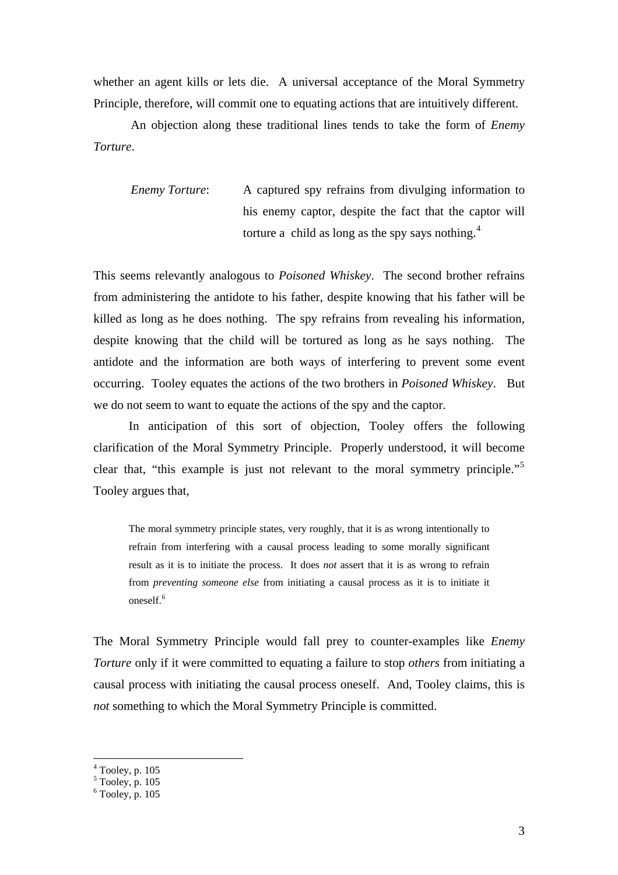whether an agent kills or lets die. A universal acceptance of the Moral Symmetry Principle, therefore, will commit one to equating actions that are intuitively different.

An objection along these traditional lines tends to take the form of *Enemy Torture*.

*Enemy Torture*: A captured spy refrains from divulging information to his enemy captor, despite the fact that the captor will torture a child as long as the spy says nothing. $4$ 

This seems relevantly analogous to *Poisoned Whiskey*. The second brother refrains from administering the antidote to his father, despite knowing that his father will be killed as long as he does nothing. The spy refrains from revealing his information, despite knowing that the child will be tortured as long as he says nothing. The antidote and the information are both ways of interfering to prevent some event occurring. Tooley equates the actions of the two brothers in *Poisoned Whiskey*. But we do not seem to want to equate the actions of the spy and the captor.

In anticipation of this sort of objection, Tooley offers the following clarification of the Moral Symmetry Principle. Properly understood, it will become clear that, "this example is just not relevant to the moral symmetry principle."<sup>[5](#page-3-1)</sup> Tooley argues that,

The moral symmetry principle states, very roughly, that it is as wrong intentionally to refrain from interfering with a causal process leading to some morally significant result as it is to initiate the process. It does *not* assert that it is as wrong to refrain from *preventing someone else* from initiating a causal process as it is to initiate it oneself.[6](#page-3-2)

The Moral Symmetry Principle would fall prey to counter-examples like *Enemy Torture* only if it were committed to equating a failure to stop *others* from initiating a causal process with initiating the causal process oneself. And, Tooley claims, this is *not* something to which the Moral Symmetry Principle is committed.

 $^4$  Tooley, p. 105<br>  $^5$  Tooley, p. 105

 $6$  Tooley, p. 105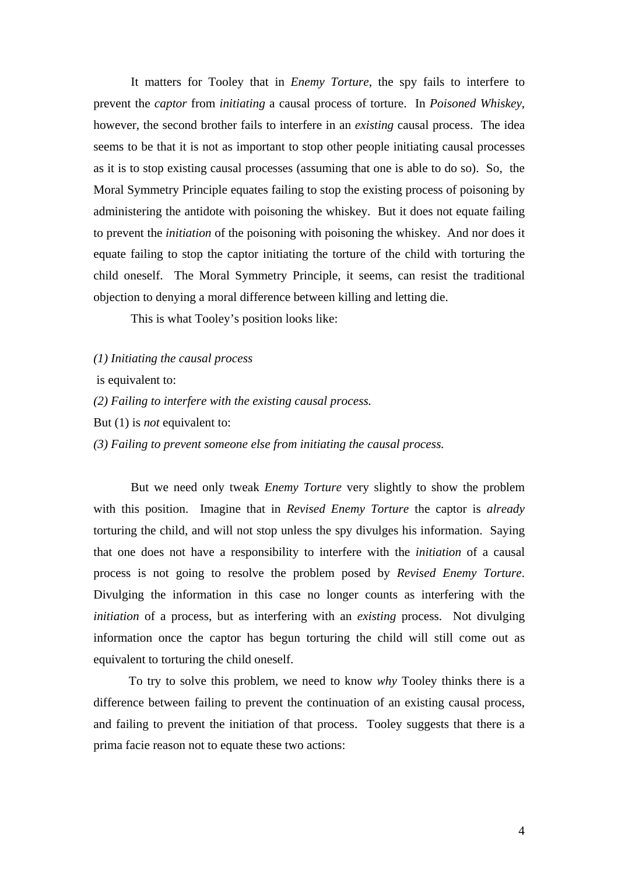It matters for Tooley that in *Enemy Torture*, the spy fails to interfere to prevent the *captor* from *initiating* a causal process of torture. In *Poisoned Whiskey*, however, the second brother fails to interfere in an *existing* causal process. The idea seems to be that it is not as important to stop other people initiating causal processes as it is to stop existing causal processes (assuming that one is able to do so). So, the Moral Symmetry Principle equates failing to stop the existing process of poisoning by administering the antidote with poisoning the whiskey. But it does not equate failing to prevent the *initiation* of the poisoning with poisoning the whiskey. And nor does it equate failing to stop the captor initiating the torture of the child with torturing the child oneself. The Moral Symmetry Principle, it seems, can resist the traditional objection to denying a moral difference between killing and letting die.

This is what Tooley's position looks like:

*(1) Initiating the causal process* 

is equivalent to:

*(2) Failing to interfere with the existing causal process.*

But (1) is *not* equivalent to:

*(3) Failing to prevent someone else from initiating the causal process.* 

But we need only tweak *Enemy Torture* very slightly to show the problem with this position. Imagine that in *Revised Enemy Torture* the captor is *already* torturing the child, and will not stop unless the spy divulges his information. Saying that one does not have a responsibility to interfere with the *initiation* of a causal process is not going to resolve the problem posed by *Revised Enemy Torture*. Divulging the information in this case no longer counts as interfering with the *initiation* of a process, but as interfering with an *existing* process. Not divulging information once the captor has begun torturing the child will still come out as equivalent to torturing the child oneself.

<span id="page-5-1"></span><span id="page-5-0"></span>To try to solve this problem, we need to know *why* Tooley thinks there is a difference between failing to prevent the continuation of an existing causal process, and failing to prevent the initiation of that process. Tooley suggests that there is a prima facie reason not to equate these two actions: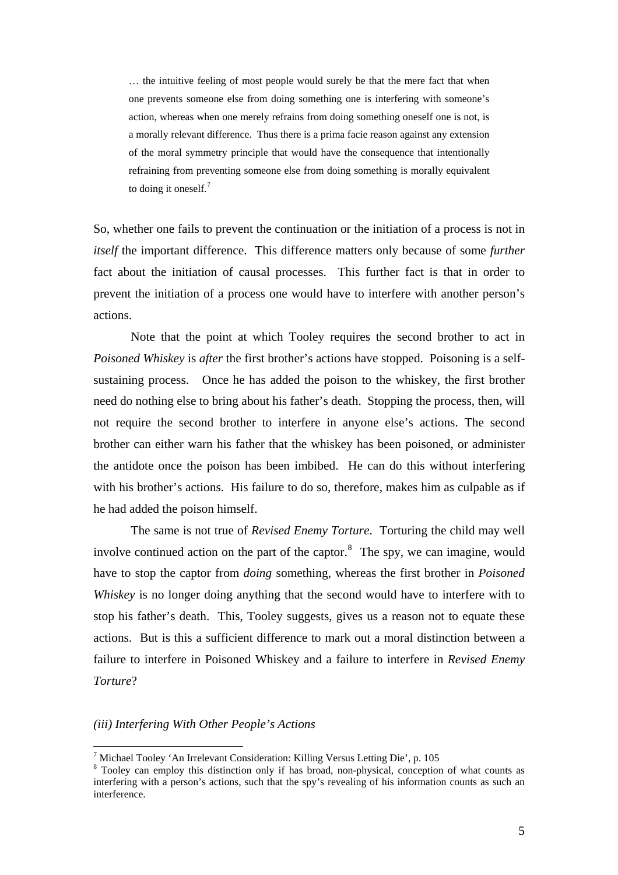… the intuitive feeling of most people would surely be that the mere fact that when one prevents someone else from doing something one is interfering with someone's action, whereas when one merely refrains from doing something oneself one is not, is a morally relevant difference. Thus there is a prima facie reason against any extension of the moral symmetry principle that would have the consequence that intentionally refraining from preventing someone else from doing something is morally equivalent to doing it oneself.<sup>[7](#page-5-0)</sup>

So, whether one fails to prevent the continuation or the initiation of a process is not in *itself* the important difference. This difference matters only because of some *further* fact about the initiation of causal processes. This further fact is that in order to prevent the initiation of a process one would have to interfere with another person's actions.

Note that the point at which Tooley requires the second brother to act in *Poisoned Whiskey* is *after* the first brother's actions have stopped. Poisoning is a selfsustaining process. Once he has added the poison to the whiskey, the first brother need do nothing else to bring about his father's death. Stopping the process, then, will not require the second brother to interfere in anyone else's actions. The second brother can either warn his father that the whiskey has been poisoned, or administer the antidote once the poison has been imbibed. He can do this without interfering with his brother's actions. His failure to do so, therefore, makes him as culpable as if he had added the poison himself.

The same is not true of *Revised Enemy Torture*. Torturing the child may well involve continued action on the part of the captor. $8$  The spy, we can imagine, would have to stop the captor from *doing* something, whereas the first brother in *Poisoned Whiskey* is no longer doing anything that the second would have to interfere with to stop his father's death. This, Tooley suggests, gives us a reason not to equate these actions. But is this a sufficient difference to mark out a moral distinction between a failure to interfere in Poisoned Whiskey and a failure to interfere in *Revised Enemy Torture*?

#### *(iii) Interfering With Other People's Actions*

<sup>&</sup>lt;sup>7</sup> Michael Tooley 'An Irrelevant Consideration: Killing Versus Letting Die', p. 105

<span id="page-6-0"></span><sup>&</sup>lt;sup>8</sup> Tooley can employ this distinction only if has broad, non-physical, conception of what counts as interfering with a person's actions, such that the spy's revealing of his information counts as such an interference.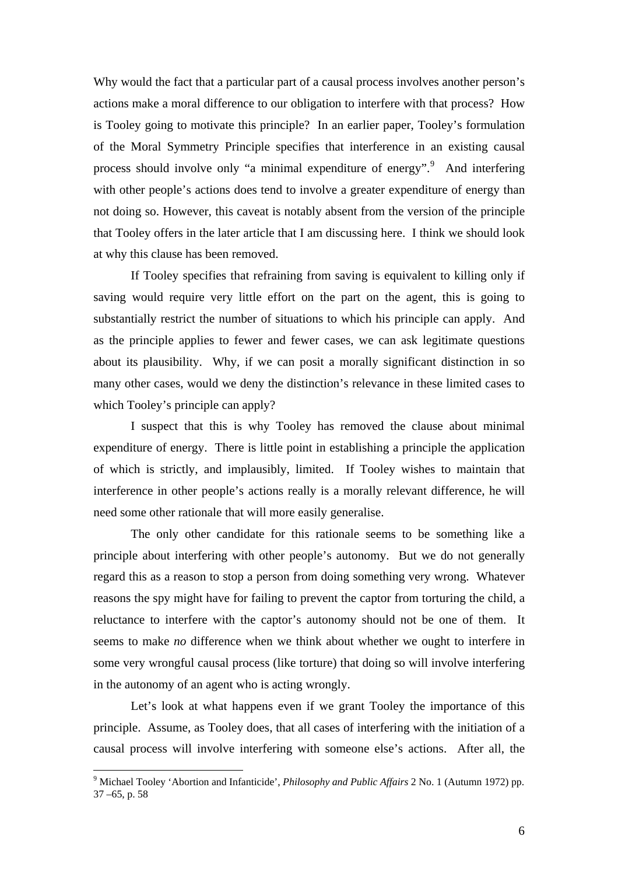Why would the fact that a particular part of a causal process involves another person's actions make a moral difference to our obligation to interfere with that process? How is Tooley going to motivate this principle? In an earlier paper, Tooley's formulation of the Moral Symmetry Principle specifies that interference in an existing causal process should involve only "a minimal expenditure of energy".<sup>[9](#page-6-0)</sup> And interfering with other people's actions does tend to involve a greater expenditure of energy than not doing so. However, this caveat is notably absent from the version of the principle that Tooley offers in the later article that I am discussing here. I think we should look at why this clause has been removed.

If Tooley specifies that refraining from saving is equivalent to killing only if saving would require very little effort on the part on the agent, this is going to substantially restrict the number of situations to which his principle can apply. And as the principle applies to fewer and fewer cases, we can ask legitimate questions about its plausibility. Why, if we can posit a morally significant distinction in so many other cases, would we deny the distinction's relevance in these limited cases to which Tooley's principle can apply?

I suspect that this is why Tooley has removed the clause about minimal expenditure of energy. There is little point in establishing a principle the application of which is strictly, and implausibly, limited. If Tooley wishes to maintain that interference in other people's actions really is a morally relevant difference, he will need some other rationale that will more easily generalise.

The only other candidate for this rationale seems to be something like a principle about interfering with other people's autonomy. But we do not generally regard this as a reason to stop a person from doing something very wrong. Whatever reasons the spy might have for failing to prevent the captor from torturing the child, a reluctance to interfere with the captor's autonomy should not be one of them. It seems to make *no* difference when we think about whether we ought to interfere in some very wrongful causal process (like torture) that doing so will involve interfering in the autonomy of an agent who is acting wrongly.

Let's look at what happens even if we grant Tooley the importance of this principle. Assume, as Tooley does, that all cases of interfering with the initiation of a causal process will involve interfering with someone else's actions. After all, the

<sup>9</sup> Michael Tooley 'Abortion and Infanticide', *Philosophy and Public Affairs* 2 No. 1 (Autumn 1972) pp. 37 –65, p. 58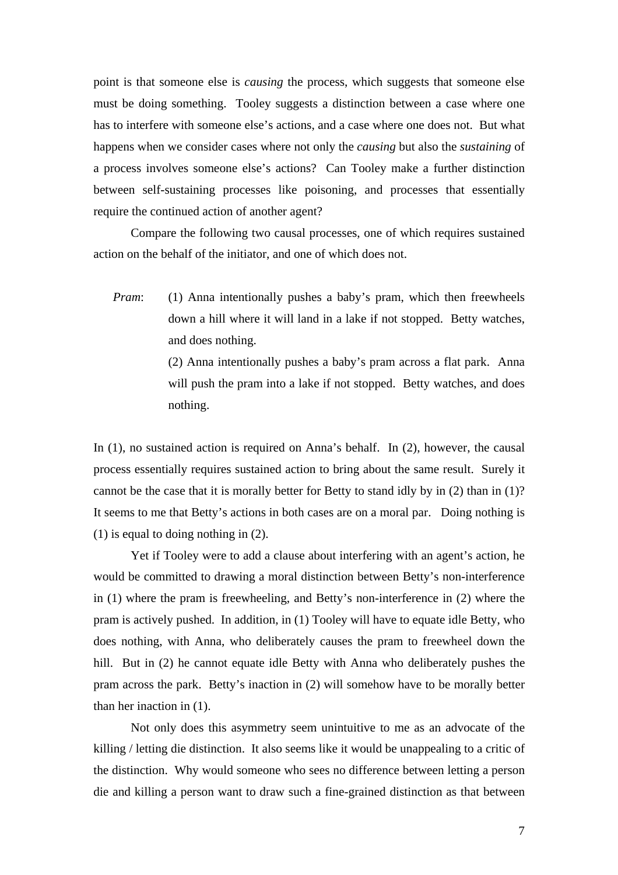point is that someone else is *causing* the process, which suggests that someone else must be doing something. Tooley suggests a distinction between a case where one has to interfere with someone else's actions, and a case where one does not. But what happens when we consider cases where not only the *causing* but also the *sustaining* of a process involves someone else's actions? Can Tooley make a further distinction between self-sustaining processes like poisoning, and processes that essentially require the continued action of another agent?

Compare the following two causal processes, one of which requires sustained action on the behalf of the initiator, and one of which does not.

*Pram*: (1) Anna intentionally pushes a baby's pram, which then freewheels down a hill where it will land in a lake if not stopped. Betty watches, and does nothing.

> (2) Anna intentionally pushes a baby's pram across a flat park. Anna will push the pram into a lake if not stopped. Betty watches, and does nothing.

In (1), no sustained action is required on Anna's behalf. In (2), however, the causal process essentially requires sustained action to bring about the same result. Surely it cannot be the case that it is morally better for Betty to stand idly by in (2) than in (1)? It seems to me that Betty's actions in both cases are on a moral par. Doing nothing is (1) is equal to doing nothing in (2).

Yet if Tooley were to add a clause about interfering with an agent's action, he would be committed to drawing a moral distinction between Betty's non-interference in (1) where the pram is freewheeling, and Betty's non-interference in (2) where the pram is actively pushed. In addition, in (1) Tooley will have to equate idle Betty, who does nothing, with Anna, who deliberately causes the pram to freewheel down the hill. But in (2) he cannot equate idle Betty with Anna who deliberately pushes the pram across the park. Betty's inaction in (2) will somehow have to be morally better than her inaction in (1).

Not only does this asymmetry seem unintuitive to me as an advocate of the killing / letting die distinction. It also seems like it would be unappealing to a critic of the distinction. Why would someone who sees no difference between letting a person die and killing a person want to draw such a fine-grained distinction as that between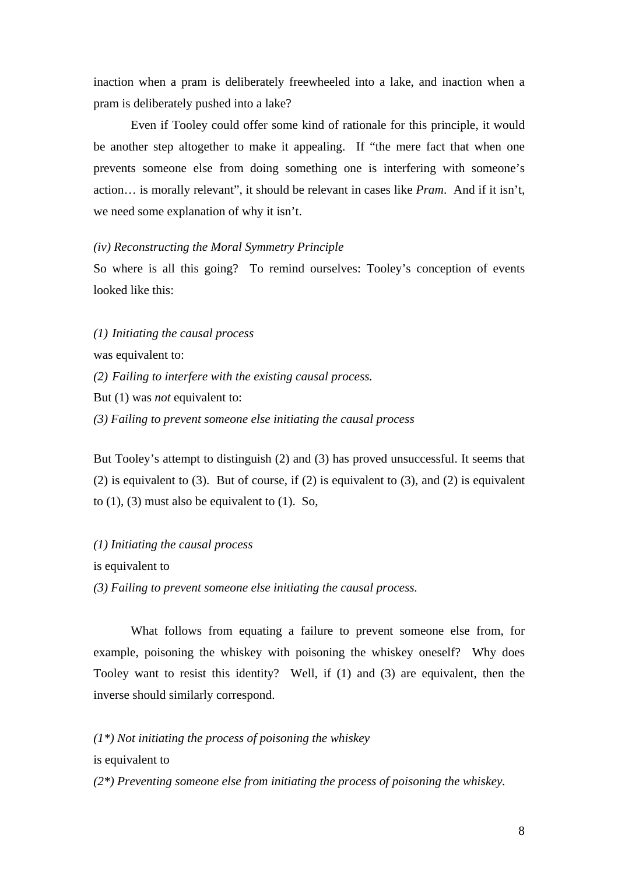inaction when a pram is deliberately freewheeled into a lake, and inaction when a pram is deliberately pushed into a lake?

Even if Tooley could offer some kind of rationale for this principle, it would be another step altogether to make it appealing. If "the mere fact that when one prevents someone else from doing something one is interfering with someone's action… is morally relevant", it should be relevant in cases like *Pram*. And if it isn't, we need some explanation of why it isn't.

#### *(iv) Reconstructing the Moral Symmetry Principle*

So where is all this going? To remind ourselves: Tooley's conception of events looked like this:

*(1) Initiating the causal process* 

was equivalent to:

*(2) Failing to interfere with the existing causal process.* 

But (1) was *not* equivalent to:

*(3) Failing to prevent someone else initiating the causal process* 

But Tooley's attempt to distinguish (2) and (3) has proved unsuccessful. It seems that (2) is equivalent to (3). But of course, if (2) is equivalent to (3), and (2) is equivalent to  $(1)$ ,  $(3)$  must also be equivalent to  $(1)$ . So,

*(1) Initiating the causal process*  is equivalent to *(3) Failing to prevent someone else initiating the causal process.*

What follows from equating a failure to prevent someone else from, for example, poisoning the whiskey with poisoning the whiskey oneself? Why does Tooley want to resist this identity? Well, if (1) and (3) are equivalent, then the inverse should similarly correspond.

<span id="page-9-0"></span>*(1\*) Not initiating the process of poisoning the whiskey*

is equivalent to

*(2\*) Preventing someone else from initiating the process of poisoning the whiskey.*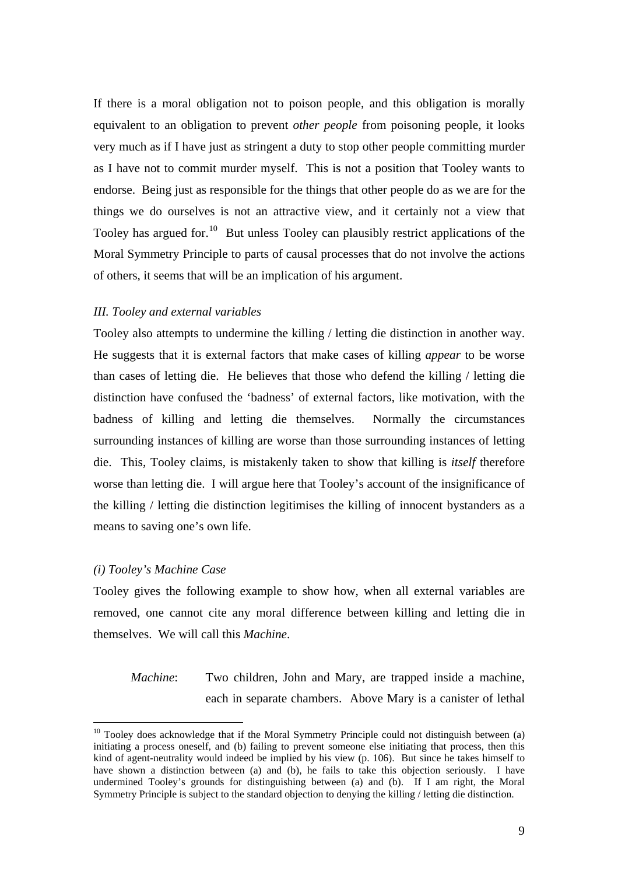If there is a moral obligation not to poison people, and this obligation is morally equivalent to an obligation to prevent *other people* from poisoning people, it looks very much as if I have just as stringent a duty to stop other people committing murder as I have not to commit murder myself. This is not a position that Tooley wants to endorse. Being just as responsible for the things that other people do as we are for the things we do ourselves is not an attractive view, and it certainly not a view that Tooley has argued for.<sup>[10](#page-9-0)</sup> But unless Tooley can plausibly restrict applications of the Moral Symmetry Principle to parts of causal processes that do not involve the actions of others, it seems that will be an implication of his argument.

#### *III. Tooley and external variables*

Tooley also attempts to undermine the killing / letting die distinction in another way. He suggests that it is external factors that make cases of killing *appear* to be worse than cases of letting die. He believes that those who defend the killing / letting die distinction have confused the 'badness' of external factors, like motivation, with the badness of killing and letting die themselves. Normally the circumstances surrounding instances of killing are worse than those surrounding instances of letting die. This, Tooley claims, is mistakenly taken to show that killing is *itself* therefore worse than letting die. I will argue here that Tooley's account of the insignificance of the killing / letting die distinction legitimises the killing of innocent bystanders as a means to saving one's own life.

#### *(i) Tooley's Machine Case*

 $\overline{a}$ 

Tooley gives the following example to show how, when all external variables are removed, one cannot cite any moral difference between killing and letting die in themselves. We will call this *Machine*.

*Machine*: Two children, John and Mary, are trapped inside a machine, each in separate chambers. Above Mary is a canister of lethal

<span id="page-10-0"></span> $10$  Tooley does acknowledge that if the Moral Symmetry Principle could not distinguish between (a) initiating a process oneself, and (b) failing to prevent someone else initiating that process, then this kind of agent-neutrality would indeed be implied by his view (p. 106). But since he takes himself to have shown a distinction between (a) and (b), he fails to take this objection seriously. I have undermined Tooley's grounds for distinguishing between (a) and (b). If I am right, the Moral Symmetry Principle is subject to the standard objection to denying the killing / letting die distinction.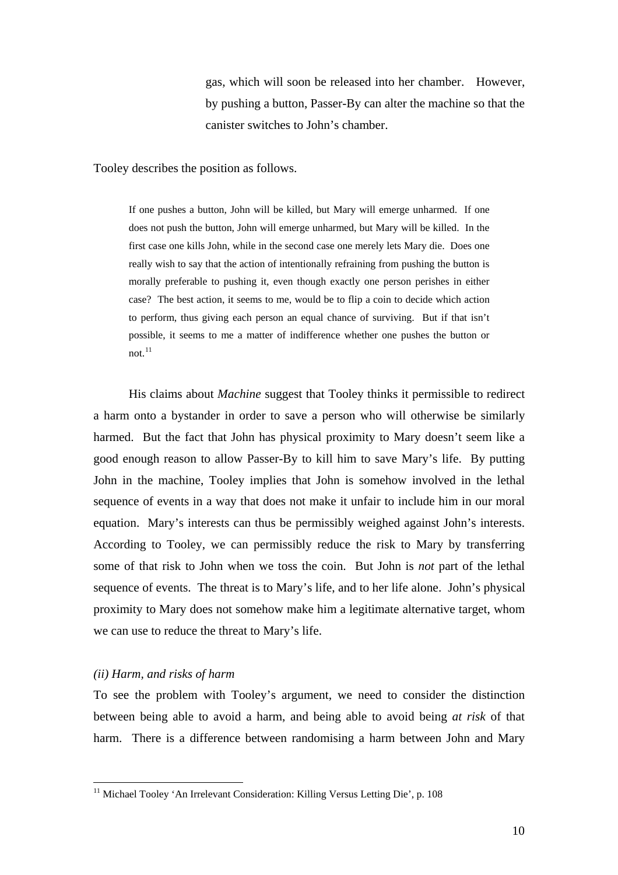gas, which will soon be released into her chamber. However, by pushing a button, Passer-By can alter the machine so that the canister switches to John's chamber.

Tooley describes the position as follows.

If one pushes a button, John will be killed, but Mary will emerge unharmed. If one does not push the button, John will emerge unharmed, but Mary will be killed. In the first case one kills John, while in the second case one merely lets Mary die. Does one really wish to say that the action of intentionally refraining from pushing the button is morally preferable to pushing it, even though exactly one person perishes in either case? The best action, it seems to me, would be to flip a coin to decide which action to perform, thus giving each person an equal chance of surviving. But if that isn't possible, it seems to me a matter of indifference whether one pushes the button or not. $11$ 

His claims about *Machine* suggest that Tooley thinks it permissible to redirect a harm onto a bystander in order to save a person who will otherwise be similarly harmed. But the fact that John has physical proximity to Mary doesn't seem like a good enough reason to allow Passer-By to kill him to save Mary's life. By putting John in the machine, Tooley implies that John is somehow involved in the lethal sequence of events in a way that does not make it unfair to include him in our moral equation. Mary's interests can thus be permissibly weighed against John's interests. According to Tooley, we can permissibly reduce the risk to Mary by transferring some of that risk to John when we toss the coin. But John is *not* part of the lethal sequence of events. The threat is to Mary's life, and to her life alone. John's physical proximity to Mary does not somehow make him a legitimate alternative target, whom we can use to reduce the threat to Mary's life.

#### *(ii) Harm, and risks of harm*

<span id="page-11-0"></span> $\overline{a}$ 

To see the problem with Tooley's argument, we need to consider the distinction between being able to avoid a harm, and being able to avoid being *at risk* of that harm. There is a difference between randomising a harm between John and Mary

<sup>&</sup>lt;sup>11</sup> Michael Tooley 'An Irrelevant Consideration: Killing Versus Letting Die', p. 108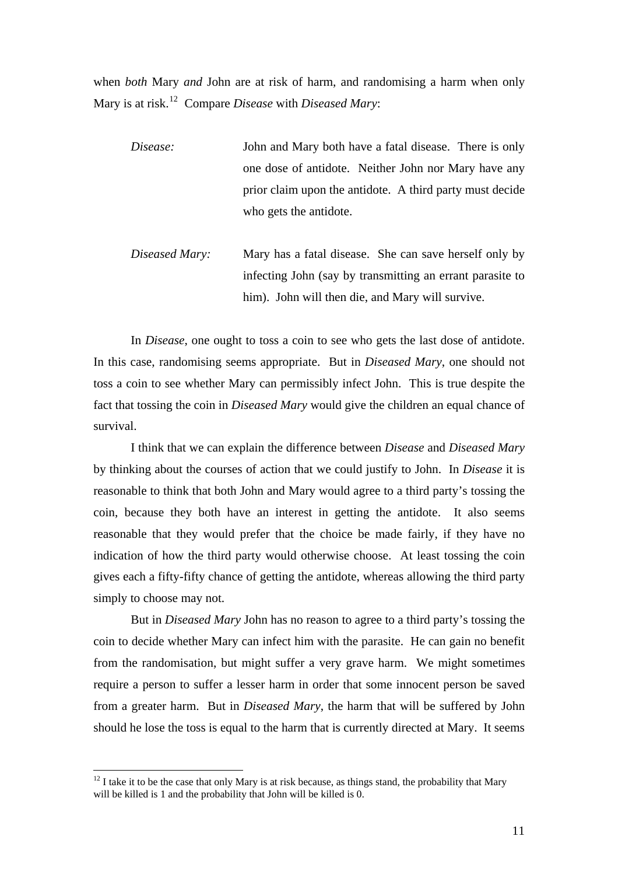when *both* Mary *and* John are at risk of harm, and randomising a harm when only Mary is at risk.[12](#page-11-0) Compare *Disease* with *Diseased Mary*:

- *Disease:* John and Mary both have a fatal disease. There is only one dose of antidote. Neither John nor Mary have any prior claim upon the antidote. A third party must decide who gets the antidote.
- *Diseased Mary:* Mary has a fatal disease. She can save herself only by infecting John (say by transmitting an errant parasite to him). John will then die, and Mary will survive.

In *Disease*, one ought to toss a coin to see who gets the last dose of antidote. In this case, randomising seems appropriate. But in *Diseased Mary*, one should not toss a coin to see whether Mary can permissibly infect John. This is true despite the fact that tossing the coin in *Diseased Mary* would give the children an equal chance of survival.

I think that we can explain the difference between *Disease* and *Diseased Mary* by thinking about the courses of action that we could justify to John. In *Disease* it is reasonable to think that both John and Mary would agree to a third party's tossing the coin, because they both have an interest in getting the antidote. It also seems reasonable that they would prefer that the choice be made fairly, if they have no indication of how the third party would otherwise choose. At least tossing the coin gives each a fifty-fifty chance of getting the antidote, whereas allowing the third party simply to choose may not.

But in *Diseased Mary* John has no reason to agree to a third party's tossing the coin to decide whether Mary can infect him with the parasite. He can gain no benefit from the randomisation, but might suffer a very grave harm. We might sometimes require a person to suffer a lesser harm in order that some innocent person be saved from a greater harm. But in *Diseased Mary*, the harm that will be suffered by John should he lose the toss is equal to the harm that is currently directed at Mary. It seems

<span id="page-12-0"></span> $12$  I take it to be the case that only Mary is at risk because, as things stand, the probability that Mary will be killed is 1 and the probability that John will be killed is 0.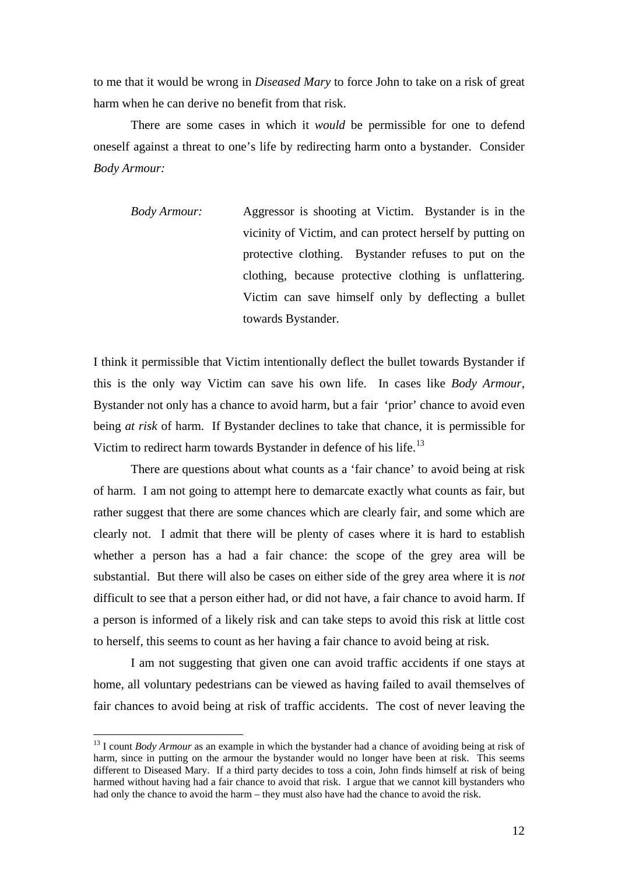to me that it would be wrong in *Diseased Mary* to force John to take on a risk of great harm when he can derive no benefit from that risk.

There are some cases in which it *would* be permissible for one to defend oneself against a threat to one's life by redirecting harm onto a bystander. Consider *Body Armour:* 

*Body Armour:* Aggressor is shooting at Victim. Bystander is in the vicinity of Victim, and can protect herself by putting on protective clothing. Bystander refuses to put on the clothing, because protective clothing is unflattering. Victim can save himself only by deflecting a bullet towards Bystander.

I think it permissible that Victim intentionally deflect the bullet towards Bystander if this is the only way Victim can save his own life. In cases like *Body Armour*, Bystander not only has a chance to avoid harm, but a fair 'prior' chance to avoid even being *at risk* of harm. If Bystander declines to take that chance, it is permissible for Victim to redirect harm towards Bystander in defence of his life.<sup>[13](#page-12-0)</sup>

<span id="page-13-0"></span>There are questions about what counts as a 'fair chance' to avoid being at risk of harm. I am not going to attempt here to demarcate exactly what counts as fair, but rather suggest that there are some chances which are clearly fair, and some which are clearly not. I admit that there will be plenty of cases where it is hard to establish whether a person has a had a fair chance: the scope of the grey area will be substantial. But there will also be cases on either side of the grey area where it is *not* difficult to see that a person either had, or did not have, a fair chance to avoid harm. If a person is informed of a likely risk and can take steps to avoid this risk at little cost to herself, this seems to count as her having a fair chance to avoid being at risk.

I am not suggesting that given one can avoid traffic accidents if one stays at home, all voluntary pedestrians can be viewed as having failed to avail themselves of fair chances to avoid being at risk of traffic accidents. The cost of never leaving the

<sup>&</sup>lt;sup>13</sup> I count *Body Armour* as an example in which the bystander had a chance of avoiding being at risk of harm, since in putting on the armour the bystander would no longer have been at risk. This seems different to Diseased Mary. If a third party decides to toss a coin, John finds himself at risk of being harmed without having had a fair chance to avoid that risk. I argue that we cannot kill bystanders who had only the chance to avoid the harm – they must also have had the chance to avoid the risk.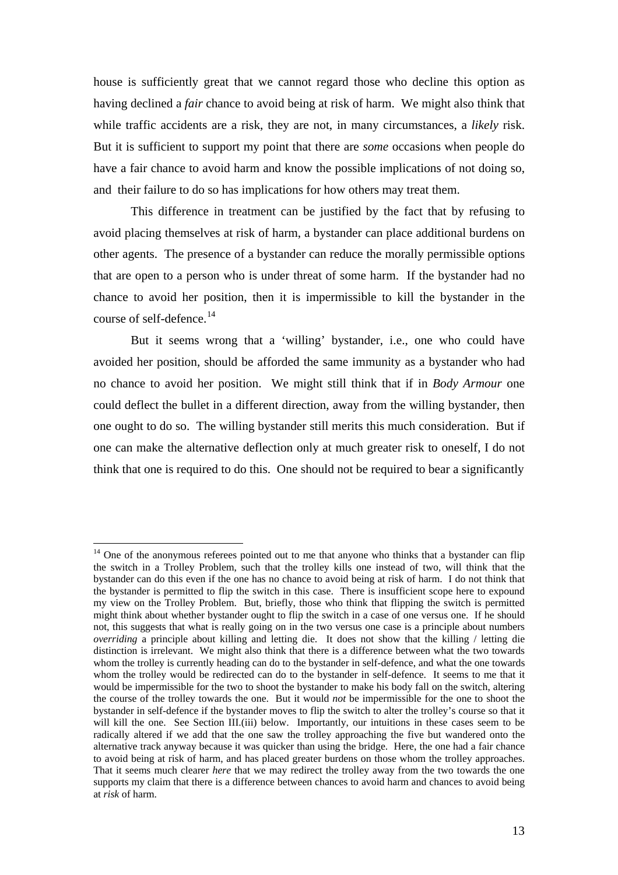house is sufficiently great that we cannot regard those who decline this option as having declined a *fair* chance to avoid being at risk of harm. We might also think that while traffic accidents are a risk, they are not, in many circumstances, a *likely* risk. But it is sufficient to support my point that there are *some* occasions when people do have a fair chance to avoid harm and know the possible implications of not doing so, and their failure to do so has implications for how others may treat them.

This difference in treatment can be justified by the fact that by refusing to avoid placing themselves at risk of harm, a bystander can place additional burdens on other agents. The presence of a bystander can reduce the morally permissible options that are open to a person who is under threat of some harm. If the bystander had no chance to avoid her position, then it is impermissible to kill the bystander in the course of self-defence.<sup>[14](#page-13-0)</sup>

But it seems wrong that a 'willing' bystander, i.e., one who could have avoided her position, should be afforded the same immunity as a bystander who had no chance to avoid her position. We might still think that if in *Body Armour* one could deflect the bullet in a different direction, away from the willing bystander, then one ought to do so. The willing bystander still merits this much consideration. But if one can make the alternative deflection only at much greater risk to oneself, I do not think that one is required to do this. One should not be required to bear a significantly

<span id="page-14-0"></span><sup>&</sup>lt;sup>14</sup> One of the anonymous referees pointed out to me that anyone who thinks that a bystander can flip the switch in a Trolley Problem, such that the trolley kills one instead of two, will think that the bystander can do this even if the one has no chance to avoid being at risk of harm. I do not think that the bystander is permitted to flip the switch in this case. There is insufficient scope here to expound my view on the Trolley Problem. But, briefly, those who think that flipping the switch is permitted might think about whether bystander ought to flip the switch in a case of one versus one. If he should not, this suggests that what is really going on in the two versus one case is a principle about numbers *overriding* a principle about killing and letting die. It does not show that the killing / letting die distinction is irrelevant. We might also think that there is a difference between what the two towards whom the trolley is currently heading can do to the bystander in self-defence, and what the one towards whom the trolley would be redirected can do to the bystander in self-defence. It seems to me that it would be impermissible for the two to shoot the bystander to make his body fall on the switch, altering the course of the trolley towards the one. But it would *not* be impermissible for the one to shoot the bystander in self-defence if the bystander moves to flip the switch to alter the trolley's course so that it will kill the one. See Section III.(iii) below. Importantly, our intuitions in these cases seem to be radically altered if we add that the one saw the trolley approaching the five but wandered onto the alternative track anyway because it was quicker than using the bridge. Here, the one had a fair chance to avoid being at risk of harm, and has placed greater burdens on those whom the trolley approaches. That it seems much clearer *here* that we may redirect the trolley away from the two towards the one supports my claim that there is a difference between chances to avoid harm and chances to avoid being at *risk* of harm.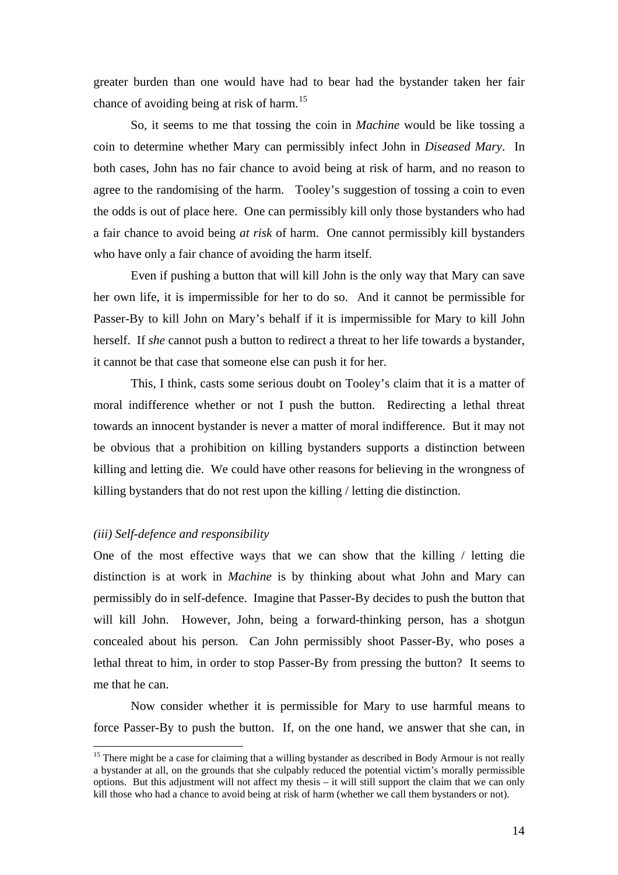greater burden than one would have had to bear had the bystander taken her fair chance of avoiding being at risk of harm.<sup>[15](#page-14-0)</sup>

So, it seems to me that tossing the coin in *Machine* would be like tossing a coin to determine whether Mary can permissibly infect John in *Diseased Mary*. In both cases, John has no fair chance to avoid being at risk of harm, and no reason to agree to the randomising of the harm. Tooley's suggestion of tossing a coin to even the odds is out of place here. One can permissibly kill only those bystanders who had a fair chance to avoid being *at risk* of harm. One cannot permissibly kill bystanders who have only a fair chance of avoiding the harm itself.

Even if pushing a button that will kill John is the only way that Mary can save her own life, it is impermissible for her to do so. And it cannot be permissible for Passer-By to kill John on Mary's behalf if it is impermissible for Mary to kill John herself. If *she* cannot push a button to redirect a threat to her life towards a bystander, it cannot be that case that someone else can push it for her.

This, I think, casts some serious doubt on Tooley's claim that it is a matter of moral indifference whether or not I push the button. Redirecting a lethal threat towards an innocent bystander is never a matter of moral indifference. But it may not be obvious that a prohibition on killing bystanders supports a distinction between killing and letting die. We could have other reasons for believing in the wrongness of killing bystanders that do not rest upon the killing / letting die distinction.

#### *(iii) Self-defence and responsibility*

<span id="page-15-0"></span> $\overline{a}$ 

One of the most effective ways that we can show that the killing / letting die distinction is at work in *Machine* is by thinking about what John and Mary can permissibly do in self-defence. Imagine that Passer-By decides to push the button that will kill John. However, John, being a forward-thinking person, has a shotgun concealed about his person. Can John permissibly shoot Passer-By, who poses a lethal threat to him, in order to stop Passer-By from pressing the button? It seems to me that he can.

Now consider whether it is permissible for Mary to use harmful means to force Passer-By to push the button. If, on the one hand, we answer that she can, in

<sup>&</sup>lt;sup>15</sup> There might be a case for claiming that a willing bystander as described in Body Armour is not really a bystander at all, on the grounds that she culpably reduced the potential victim's morally permissible options. But this adjustment will not affect my thesis – it will still support the claim that we can only kill those who had a chance to avoid being at risk of harm (whether we call them bystanders or not).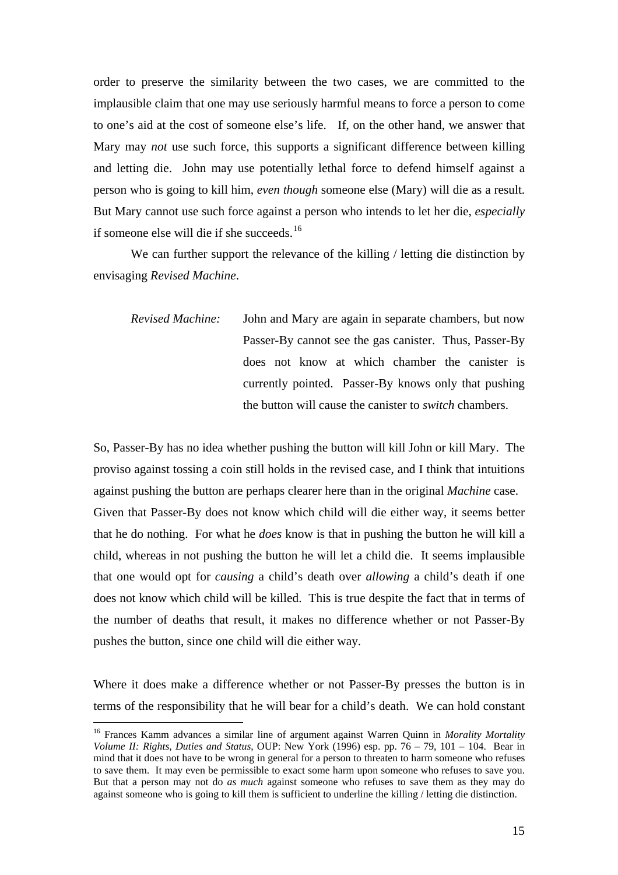order to preserve the similarity between the two cases, we are committed to the implausible claim that one may use seriously harmful means to force a person to come to one's aid at the cost of someone else's life. If, on the other hand, we answer that Mary may *not* use such force, this supports a significant difference between killing and letting die. John may use potentially lethal force to defend himself against a person who is going to kill him, *even though* someone else (Mary) will die as a result. But Mary cannot use such force against a person who intends to let her die, *especially* if someone else will die if she succeeds.<sup>[16](#page-15-0)</sup>

We can further support the relevance of the killing / letting die distinction by envisaging *Revised Machine*.

*Revised Machine:* John and Mary are again in separate chambers, but now Passer-By cannot see the gas canister. Thus, Passer-By does not know at which chamber the canister is currently pointed. Passer-By knows only that pushing the button will cause the canister to *switch* chambers.

So, Passer-By has no idea whether pushing the button will kill John or kill Mary. The proviso against tossing a coin still holds in the revised case, and I think that intuitions against pushing the button are perhaps clearer here than in the original *Machine* case. Given that Passer-By does not know which child will die either way, it seems better that he do nothing. For what he *does* know is that in pushing the button he will kill a child, whereas in not pushing the button he will let a child die. It seems implausible that one would opt for *causing* a child's death over *allowing* a child's death if one does not know which child will be killed. This is true despite the fact that in terms of the number of deaths that result, it makes no difference whether or not Passer-By pushes the button, since one child will die either way.

Where it does make a difference whether or not Passer-By presses the button is in terms of the responsibility that he will bear for a child's death. We can hold constant

<span id="page-16-1"></span><span id="page-16-0"></span><sup>16</sup> Frances Kamm advances a similar line of argument against Warren Quinn in *Morality Mortality Volume II: Rights, Duties and Status*, OUP: New York (1996) esp. pp. 76 – 79, 101 – 104. Bear in mind that it does not have to be wrong in general for a person to threaten to harm someone who refuses to save them. It may even be permissible to exact some harm upon someone who refuses to save you. But that a person may not do *as much* against someone who refuses to save them as they may do against someone who is going to kill them is sufficient to underline the killing / letting die distinction.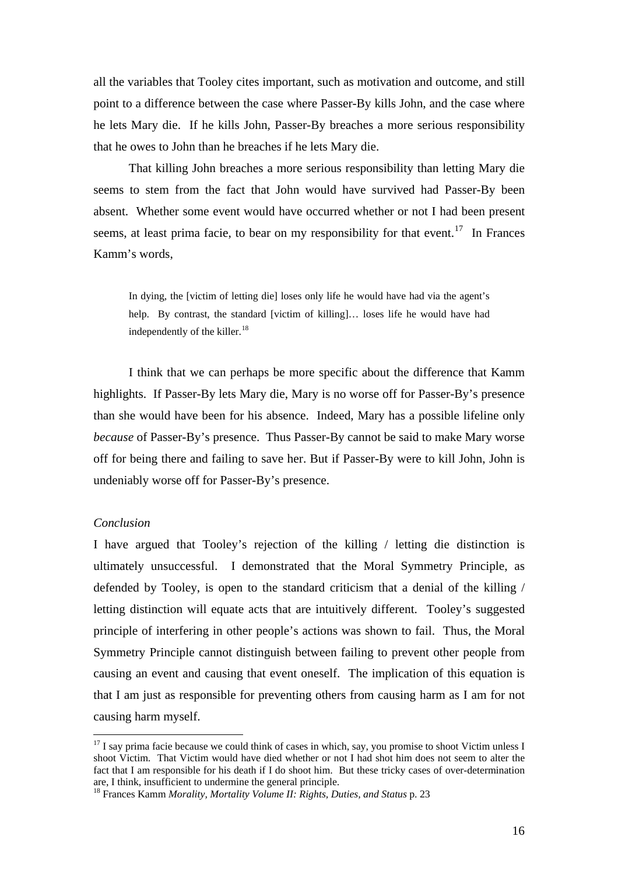all the variables that Tooley cites important, such as motivation and outcome, and still point to a difference between the case where Passer-By kills John, and the case where he lets Mary die. If he kills John, Passer-By breaches a more serious responsibility that he owes to John than he breaches if he lets Mary die.

That killing John breaches a more serious responsibility than letting Mary die seems to stem from the fact that John would have survived had Passer-By been absent. Whether some event would have occurred whether or not I had been present seems, at least prima facie, to bear on my responsibility for that event.<sup>[17](#page-16-0)</sup> In Frances Kamm's words,

In dying, the [victim of letting die] loses only life he would have had via the agent's help. By contrast, the standard [victim of killing]... loses life he would have had independently of the killer. $18$ 

I think that we can perhaps be more specific about the difference that Kamm highlights. If Passer-By lets Mary die, Mary is no worse off for Passer-By's presence than she would have been for his absence. Indeed, Mary has a possible lifeline only *because* of Passer-By's presence. Thus Passer-By cannot be said to make Mary worse off for being there and failing to save her. But if Passer-By were to kill John, John is undeniably worse off for Passer-By's presence.

#### *Conclusion*

 $\overline{a}$ 

I have argued that Tooley's rejection of the killing / letting die distinction is ultimately unsuccessful. I demonstrated that the Moral Symmetry Principle, as defended by Tooley, is open to the standard criticism that a denial of the killing / letting distinction will equate acts that are intuitively different. Tooley's suggested principle of interfering in other people's actions was shown to fail. Thus, the Moral Symmetry Principle cannot distinguish between failing to prevent other people from causing an event and causing that event oneself. The implication of this equation is that I am just as responsible for preventing others from causing harm as I am for not causing harm myself.

 $17$  I say prima facie because we could think of cases in which, say, you promise to shoot Victim unless I shoot Victim. That Victim would have died whether or not I had shot him does not seem to alter the fact that I am responsible for his death if I do shoot him. But these tricky cases of over-determination are, I think, insufficient to undermine the general principle.

<sup>18</sup> Frances Kamm *Morality, Mortality Volume II: Rights, Duties, and Status* p. 23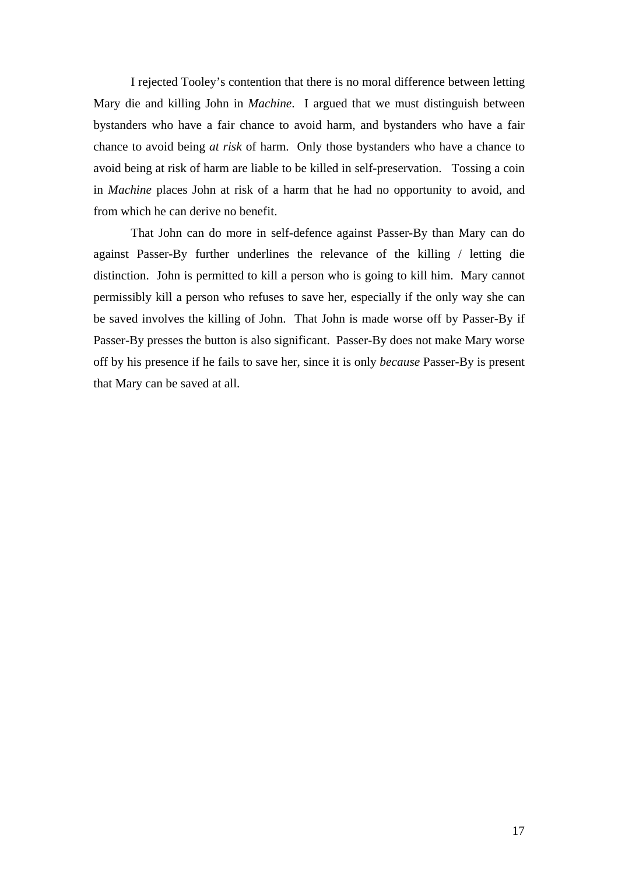I rejected Tooley's contention that there is no moral difference between letting Mary die and killing John in *Machine*. I argued that we must distinguish between bystanders who have a fair chance to avoid harm, and bystanders who have a fair chance to avoid being *at risk* of harm. Only those bystanders who have a chance to avoid being at risk of harm are liable to be killed in self-preservation. Tossing a coin in *Machine* places John at risk of a harm that he had no opportunity to avoid, and from which he can derive no benefit.

That John can do more in self-defence against Passer-By than Mary can do against Passer-By further underlines the relevance of the killing / letting die distinction. John is permitted to kill a person who is going to kill him. Mary cannot permissibly kill a person who refuses to save her, especially if the only way she can be saved involves the killing of John. That John is made worse off by Passer-By if Passer-By presses the button is also significant. Passer-By does not make Mary worse off by his presence if he fails to save her, since it is only *because* Passer-By is present that Mary can be saved at all.